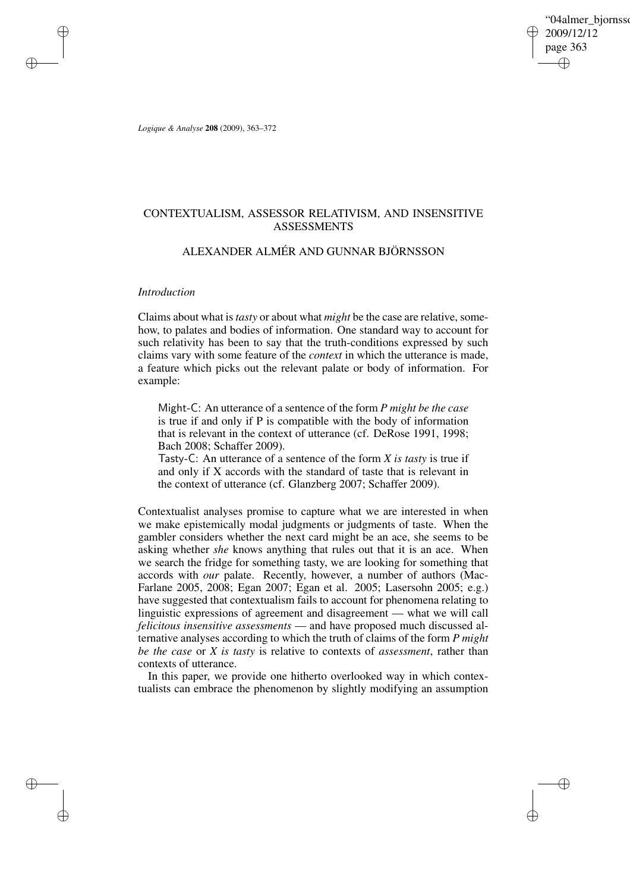'04almer\_biornsso 2009/12/12 page 363 ✐ ✐

✐

✐

*Logique & Analyse* **208** (2009), 363–372

# CONTEXTUALISM, ASSESSOR RELATIVISM, AND INSENSITIVE ASSESSMENTS

# ALEXANDER ALMÉR AND GUNNAR BJÖRNSSON

# *Introduction*

✐

✐

✐

✐

Claims about what is *tasty* or about what *might* be the case are relative, somehow, to palates and bodies of information. One standard way to account for such relativity has been to say that the truth-conditions expressed by such claims vary with some feature of the *context* in which the utterance is made, a feature which picks out the relevant palate or body of information. For example:

Might-C: An utterance of a sentence of the form *P might be the case* is true if and only if P is compatible with the body of information that is relevant in the context of utterance (cf. DeRose 1991, 1998; Bach 2008; Schaffer 2009).

Tasty-C: An utterance of a sentence of the form *X is tasty* is true if and only if X accords with the standard of taste that is relevant in the context of utterance (cf. Glanzberg 2007; Schaffer 2009).

Contextualist analyses promise to capture what we are interested in when we make epistemically modal judgments or judgments of taste. When the gambler considers whether the next card might be an ace, she seems to be asking whether *she* knows anything that rules out that it is an ace. When we search the fridge for something tasty, we are looking for something that accords with *our* palate. Recently, however, a number of authors (Mac-Farlane 2005, 2008; Egan 2007; Egan et al. 2005; Lasersohn 2005; e.g.) have suggested that contextualism fails to account for phenomena relating to linguistic expressions of agreement and disagreement — what we will call *felicitous insensitive assessments* — and have proposed much discussed alternative analyses according to which the truth of claims of the form *P might be the case* or *X is tasty* is relative to contexts of *assessment*, rather than contexts of utterance.

In this paper, we provide one hitherto overlooked way in which contextualists can embrace the phenomenon by slightly modifying an assumption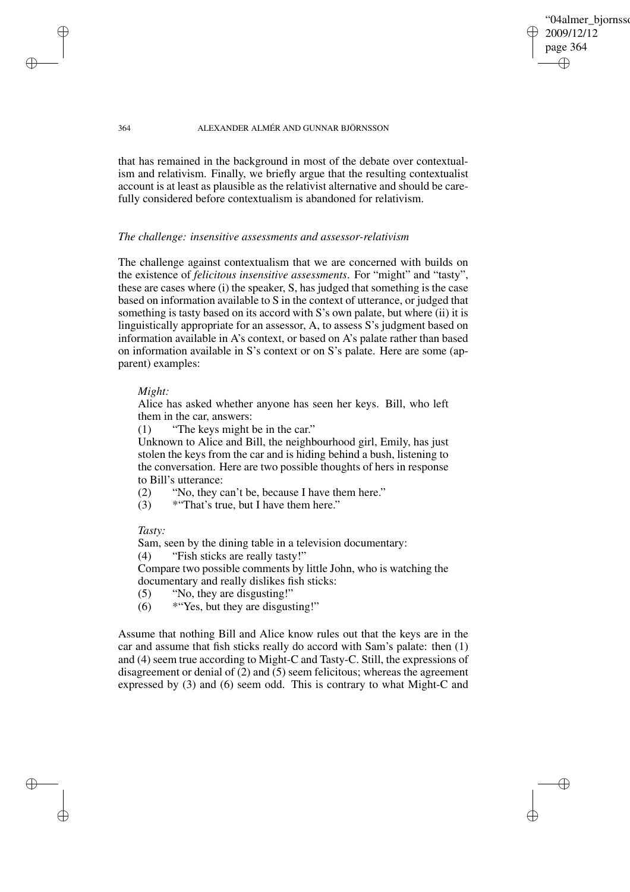"04almer\_biornsso 2009/12/12 page 364 ✐ ✐

✐

✐

#### 364 ALEXANDER ALMÉR AND GUNNAR BJÖRNSSON

that has remained in the background in most of the debate over contextualism and relativism. Finally, we briefly argue that the resulting contextualist account is at least as plausible as the relativist alternative and should be carefully considered before contextualism is abandoned for relativism.

### *The challenge: insensitive assessments and assessor-relativism*

The challenge against contextualism that we are concerned with builds on the existence of *felicitous insensitive assessments*. For "might" and "tasty", these are cases where (i) the speaker, S, has judged that something is the case based on information available to S in the context of utterance, or judged that something is tasty based on its accord with S's own palate, but where (ii) it is linguistically appropriate for an assessor, A, to assess S's judgment based on information available in A's context, or based on A's palate rather than based on information available in S's context or on S's palate. Here are some (apparent) examples:

## *Might:*

✐

✐

✐

✐

Alice has asked whether anyone has seen her keys. Bill, who left them in the car, answers:

(1) "The keys might be in the car."

Unknown to Alice and Bill, the neighbourhood girl, Emily, has just stolen the keys from the car and is hiding behind a bush, listening to the conversation. Here are two possible thoughts of hers in response to Bill's utterance:

(2) "No, they can't be, because I have them here."

(3) \*"That's true, but I have them here."

*Tasty:*

Sam, seen by the dining table in a television documentary:

(4) "Fish sticks are really tasty!"

Compare two possible comments by little John, who is watching the documentary and really dislikes fish sticks:

- (5) "No, they are disgusting!"
- $(6)$  \* "Yes, but they are disgusting!"

Assume that nothing Bill and Alice know rules out that the keys are in the car and assume that fish sticks really do accord with Sam's palate: then (1) and (4) seem true according to Might-C and Tasty-C. Still, the expressions of disagreement or denial of (2) and (5) seem felicitous; whereas the agreement expressed by (3) and (6) seem odd. This is contrary to what Might-C and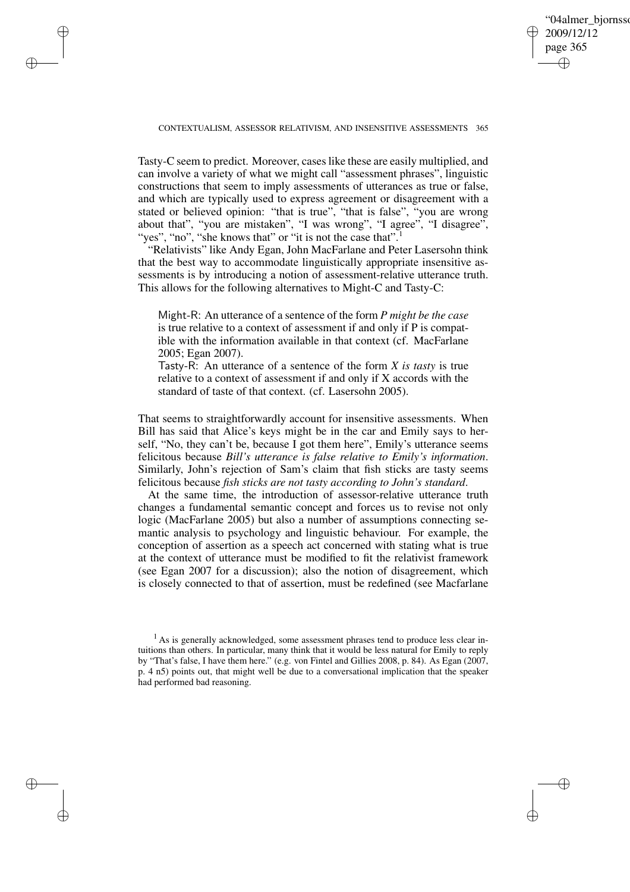✐

#### CONTEXTUALISM, ASSESSOR RELATIVISM, AND INSENSITIVE ASSESSMENTS 365

✐

✐

✐

✐

Tasty-C seem to predict. Moreover, caseslike these are easily multiplied, and can involve a variety of what we might call "assessment phrases", linguistic constructions that seem to imply assessments of utterances as true or false, and which are typically used to express agreement or disagreement with a stated or believed opinion: "that is true", "that is false", "you are wrong about that", "you are mistaken", "I was wrong", "I agree", "I disagree", "yes", "no", "she knows that" or "it is not the case that".<sup>1</sup>

"Relativists" like Andy Egan, John MacFarlane and Peter Lasersohn think that the best way to accommodate linguistically appropriate insensitive assessments is by introducing a notion of assessment-relative utterance truth. This allows for the following alternatives to Might-C and Tasty-C:

Might-R: An utterance of a sentence of the form *P might be the case* is true relative to a context of assessment if and only if P is compatible with the information available in that context (cf. MacFarlane 2005; Egan 2007).

Tasty-R: An utterance of a sentence of the form *X is tasty* is true relative to a context of assessment if and only if X accords with the standard of taste of that context. (cf. Lasersohn 2005).

That seems to straightforwardly account for insensitive assessments. When Bill has said that Alice's keys might be in the car and Emily says to herself, "No, they can't be, because I got them here", Emily's utterance seems felicitous because *Bill's utterance is false relative to Emily's information*. Similarly, John's rejection of Sam's claim that fish sticks are tasty seems felicitous because *fish sticks are not tasty according to John's standard*.

At the same time, the introduction of assessor-relative utterance truth changes a fundamental semantic concept and forces us to revise not only logic (MacFarlane 2005) but also a number of assumptions connecting semantic analysis to psychology and linguistic behaviour. For example, the conception of assertion as a speech act concerned with stating what is true at the context of utterance must be modified to fit the relativist framework (see Egan 2007 for a discussion); also the notion of disagreement, which is closely connected to that of assertion, must be redefined (see Macfarlane

<sup>&</sup>lt;sup>1</sup> As is generally acknowledged, some assessment phrases tend to produce less clear intuitions than others. In particular, many think that it would be less natural for Emily to reply by "That's false, I have them here." (e.g. von Fintel and Gillies 2008, p. 84). As Egan (2007, p. 4 n5) points out, that might well be due to a conversational implication that the speaker had performed bad reasoning.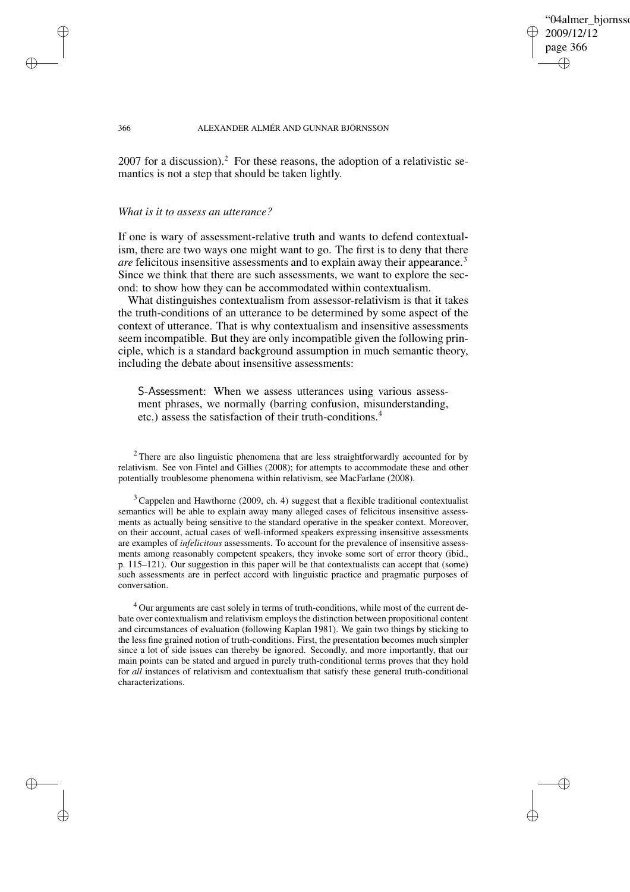"04almer\_biornsso 2009/12/12 page 366 ✐ ✐

✐

✐

#### 366 ALEXANDER ALMÉR AND GUNNAR BJÖRNSSON

 $2007$  for a discussion).<sup>2</sup> For these reasons, the adoption of a relativistic semantics is not a step that should be taken lightly.

#### *What is it to assess an utterance?*

✐

✐

✐

✐

If one is wary of assessment-relative truth and wants to defend contextualism, there are two ways one might want to go. The first is to deny that there *are* felicitous insensitive assessments and to explain away their appearance.<sup>3</sup> Since we think that there are such assessments, we want to explore the second: to show how they can be accommodated within contextualism.

What distinguishes contextualism from assessor-relativism is that it takes the truth-conditions of an utterance to be determined by some aspect of the context of utterance. That is why contextualism and insensitive assessments seem incompatible. But they are only incompatible given the following principle, which is a standard background assumption in much semantic theory, including the debate about insensitive assessments:

S-Assessment: When we assess utterances using various assessment phrases, we normally (barring confusion, misunderstanding, etc.) assess the satisfaction of their truth-conditions.<sup>4</sup>

<sup>2</sup> There are also linguistic phenomena that are less straightforwardly accounted for by relativism. See von Fintel and Gillies (2008); for attempts to accommodate these and other potentially troublesome phenomena within relativism, see MacFarlane (2008).

 $3$  Cappelen and Hawthorne (2009, ch. 4) suggest that a flexible traditional contextualist semantics will be able to explain away many alleged cases of felicitous insensitive assessments as actually being sensitive to the standard operative in the speaker context. Moreover, on their account, actual cases of well-informed speakers expressing insensitive assessments are examples of *infelicitous* assessments. To account for the prevalence of insensitive assessments among reasonably competent speakers, they invoke some sort of error theory (ibid., p. 115–121). Our suggestion in this paper will be that contextualists can accept that (some) such assessments are in perfect accord with linguistic practice and pragmatic purposes of conversation.

<sup>4</sup> Our arguments are cast solely in terms of truth-conditions, while most of the current debate over contextualism and relativism employs the distinction between propositional content and circumstances of evaluation (following Kaplan 1981). We gain two things by sticking to the less fine grained notion of truth-conditions. First, the presentation becomes much simpler since a lot of side issues can thereby be ignored. Secondly, and more importantly, that our main points can be stated and argued in purely truth-conditional terms proves that they hold for *all* instances of relativism and contextualism that satisfy these general truth-conditional characterizations.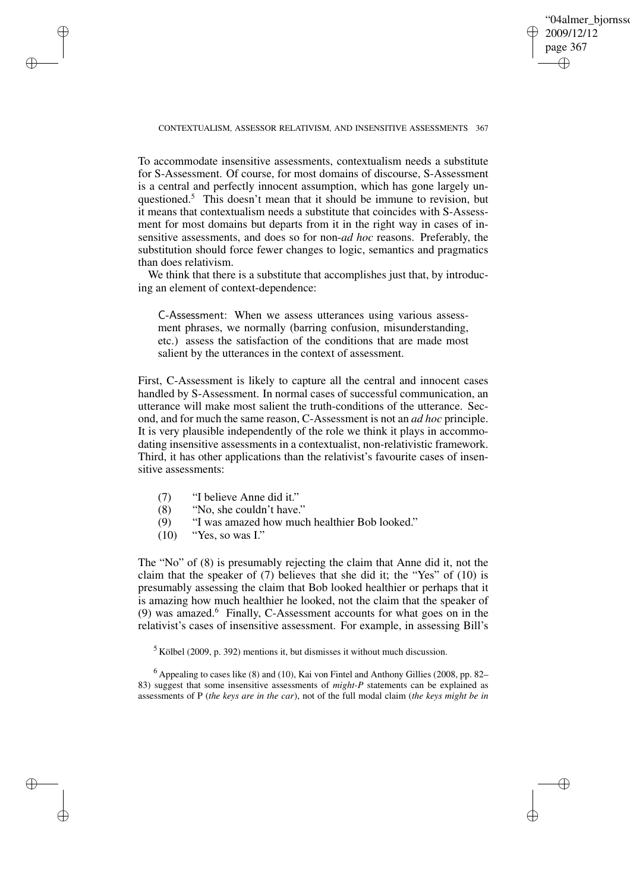✐

#### CONTEXTUALISM, ASSESSOR RELATIVISM, AND INSENSITIVE ASSESSMENTS 367

To accommodate insensitive assessments, contextualism needs a substitute for S-Assessment. Of course, for most domains of discourse, S-Assessment is a central and perfectly innocent assumption, which has gone largely unquestioned.<sup>5</sup> This doesn't mean that it should be immune to revision, but it means that contextualism needs a substitute that coincides with S-Assessment for most domains but departs from it in the right way in cases of insensitive assessments, and does so for non-*ad hoc* reasons. Preferably, the substitution should force fewer changes to logic, semantics and pragmatics than does relativism.

We think that there is a substitute that accomplishes just that, by introducing an element of context-dependence:

C-Assessment: When we assess utterances using various assessment phrases, we normally (barring confusion, misunderstanding, etc.) assess the satisfaction of the conditions that are made most salient by the utterances in the context of assessment.

First, C-Assessment is likely to capture all the central and innocent cases handled by S-Assessment. In normal cases of successful communication, an utterance will make most salient the truth-conditions of the utterance. Second, and for much the same reason, C-Assessment is not an *ad hoc* principle. It is very plausible independently of the role we think it plays in accommodating insensitive assessments in a contextualist, non-relativistic framework. Third, it has other applications than the relativist's favourite cases of insensitive assessments:

- (7) "I believe Anne did it."
- (8) "No, she couldn't have."
- (9) "I was amazed how much healthier Bob looked."
- $(10)$  "Yes, so was I."

✐

✐

✐

✐

The "No" of (8) is presumably rejecting the claim that Anne did it, not the claim that the speaker of (7) believes that she did it; the "Yes" of (10) is presumably assessing the claim that Bob looked healthier or perhaps that it is amazing how much healthier he looked, not the claim that the speaker of (9) was amazed. $6$  Finally, C-Assessment accounts for what goes on in the relativist's cases of insensitive assessment. For example, in assessing Bill's

<sup>5</sup> Kölbel (2009, p. 392) mentions it, but dismisses it without much discussion.

 $6$  Appealing to cases like (8) and (10), Kai von Fintel and Anthony Gillies (2008, pp. 82– 83) suggest that some insensitive assessments of *might-P* statements can be explained as assessments of P (*the keys are in the car*), not of the full modal claim (*the keys might be in*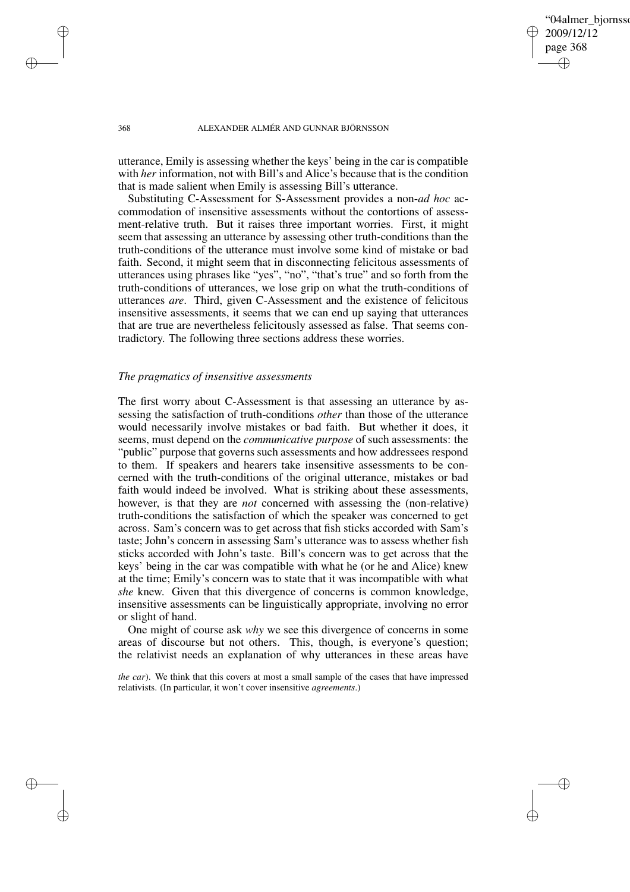'04almer\_biornsso 2009/12/12 page 368 ✐ ✐

✐

✐

#### 368 ALEXANDER ALMÉR AND GUNNAR BJÖRNSSON

utterance, Emily is assessing whether the keys' being in the car is compatible with *her* information, not with Bill's and Alice's because that is the condition that is made salient when Emily is assessing Bill's utterance.

Substituting C-Assessment for S-Assessment provides a non-*ad hoc* accommodation of insensitive assessments without the contortions of assessment-relative truth. But it raises three important worries. First, it might seem that assessing an utterance by assessing other truth-conditions than the truth-conditions of the utterance must involve some kind of mistake or bad faith. Second, it might seem that in disconnecting felicitous assessments of utterances using phrases like "yes", "no", "that's true" and so forth from the truth-conditions of utterances, we lose grip on what the truth-conditions of utterances *are*. Third, given C-Assessment and the existence of felicitous insensitive assessments, it seems that we can end up saying that utterances that are true are nevertheless felicitously assessed as false. That seems contradictory. The following three sections address these worries.

# *The pragmatics of insensitive assessments*

The first worry about C-Assessment is that assessing an utterance by assessing the satisfaction of truth-conditions *other* than those of the utterance would necessarily involve mistakes or bad faith. But whether it does, it seems, must depend on the *communicative purpose* of such assessments: the "public" purpose that governs such assessments and how addressees respond to them. If speakers and hearers take insensitive assessments to be concerned with the truth-conditions of the original utterance, mistakes or bad faith would indeed be involved. What is striking about these assessments, however, is that they are *not* concerned with assessing the (non-relative) truth-conditions the satisfaction of which the speaker was concerned to get across. Sam's concern was to get across that fish sticks accorded with Sam's taste; John's concern in assessing Sam's utterance was to assess whether fish sticks accorded with John's taste. Bill's concern was to get across that the keys' being in the car was compatible with what he (or he and Alice) knew at the time; Emily's concern was to state that it was incompatible with what *she* knew. Given that this divergence of concerns is common knowledge, insensitive assessments can be linguistically appropriate, involving no error or slight of hand.

One might of course ask *why* we see this divergence of concerns in some areas of discourse but not others. This, though, is everyone's question; the relativist needs an explanation of why utterances in these areas have

*the car*). We think that this covers at most a small sample of the cases that have impressed relativists. (In particular, it won't cover insensitive *agreements*.)

✐

✐

✐

✐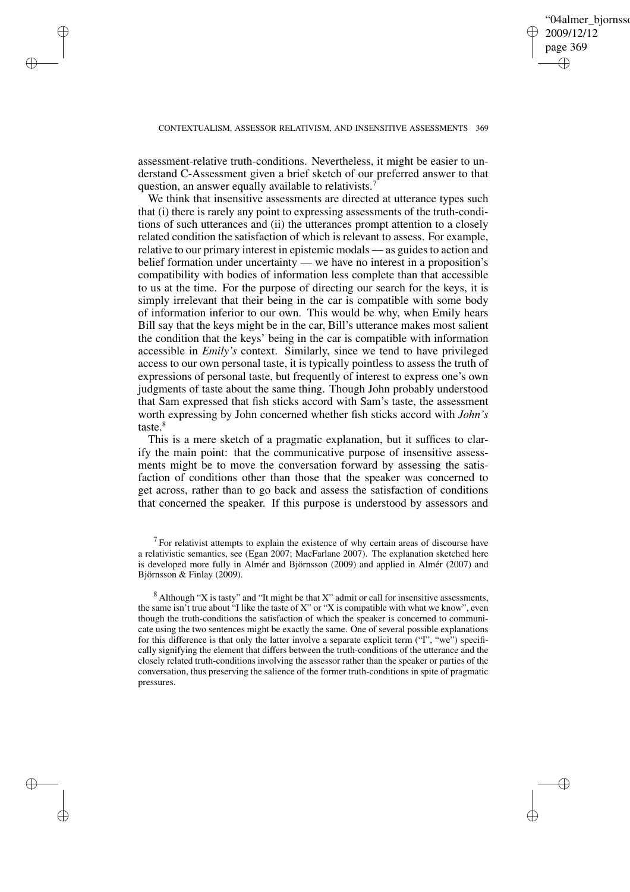✐

#### CONTEXTUALISM, ASSESSOR RELATIVISM, AND INSENSITIVE ASSESSMENTS 369

assessment-relative truth-conditions. Nevertheless, it might be easier to understand C-Assessment given a brief sketch of our preferred answer to that question, an answer equally available to relativists.<sup>7</sup>

✐

✐

✐

✐

We think that insensitive assessments are directed at utterance types such that (i) there is rarely any point to expressing assessments of the truth-conditions of such utterances and (ii) the utterances prompt attention to a closely related condition the satisfaction of which is relevant to assess. For example, relative to our primary interest in epistemic modals — as guides to action and belief formation under uncertainty — we have no interest in a proposition's compatibility with bodies of information less complete than that accessible to us at the time. For the purpose of directing our search for the keys, it is simply irrelevant that their being in the car is compatible with some body of information inferior to our own. This would be why, when Emily hears Bill say that the keys might be in the car, Bill's utterance makes most salient the condition that the keys' being in the car is compatible with information accessible in *Emily's* context. Similarly, since we tend to have privileged access to our own personal taste, it is typically pointless to assess the truth of expressions of personal taste, but frequently of interest to express one's own judgments of taste about the same thing. Though John probably understood that Sam expressed that fish sticks accord with Sam's taste, the assessment worth expressing by John concerned whether fish sticks accord with *John's* taste.<sup>8</sup>

This is a mere sketch of a pragmatic explanation, but it suffices to clarify the main point: that the communicative purpose of insensitive assessments might be to move the conversation forward by assessing the satisfaction of conditions other than those that the speaker was concerned to get across, rather than to go back and assess the satisfaction of conditions that concerned the speaker. If this purpose is understood by assessors and

 $7$  For relativist attempts to explain the existence of why certain areas of discourse have a relativistic semantics, see (Egan 2007; MacFarlane 2007). The explanation sketched here is developed more fully in Almér and Björnsson (2009) and applied in Almér (2007) and Björnsson & Finlay (2009).

 $8$  Although "X is tasty" and "It might be that X" admit or call for insensitive assessments, the same isn't true about "I like the taste of X" or "X is compatible with what we know", even though the truth-conditions the satisfaction of which the speaker is concerned to communicate using the two sentences might be exactly the same. One of several possible explanations for this difference is that only the latter involve a separate explicit term ("I", "we") specifically signifying the element that differs between the truth-conditions of the utterance and the closely related truth-conditions involving the assessor rather than the speaker or parties of the conversation, thus preserving the salience of the former truth-conditions in spite of pragmatic pressures.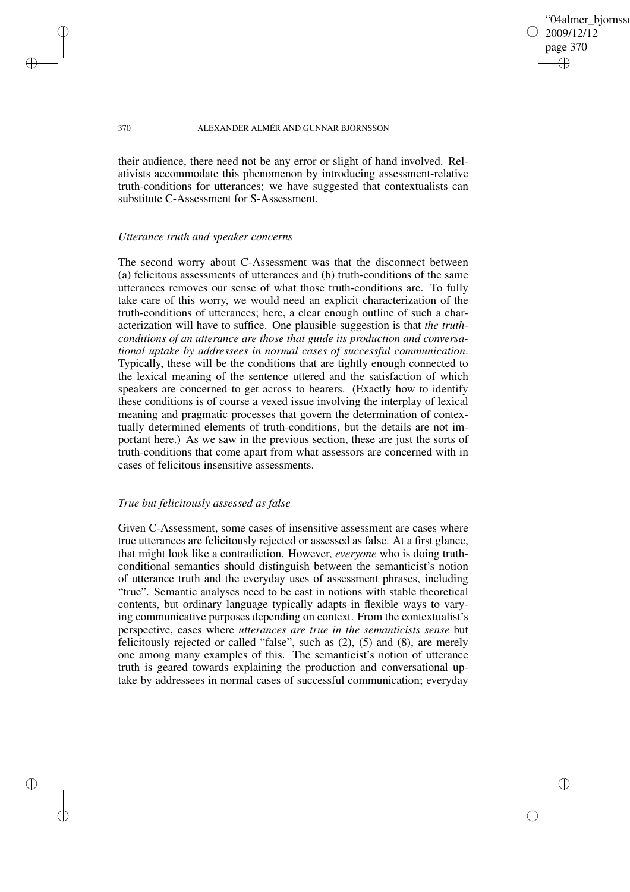'04almer\_biornsso 2009/12/12 page 370 ✐ ✐

✐

✐

#### 370 ALEXANDER ALMÉR AND GUNNAR BJÖRNSSON

their audience, there need not be any error or slight of hand involved. Relativists accommodate this phenomenon by introducing assessment-relative truth-conditions for utterances; we have suggested that contextualists can substitute C-Assessment for S-Assessment.

### *Utterance truth and speaker concerns*

The second worry about C-Assessment was that the disconnect between (a) felicitous assessments of utterances and (b) truth-conditions of the same utterances removes our sense of what those truth-conditions are. To fully take care of this worry, we would need an explicit characterization of the truth-conditions of utterances; here, a clear enough outline of such a characterization will have to suffice. One plausible suggestion is that *the truthconditions of an utterance are those that guide its production and conversational uptake by addressees in normal cases of successful communication*. Typically, these will be the conditions that are tightly enough connected to the lexical meaning of the sentence uttered and the satisfaction of which speakers are concerned to get across to hearers. (Exactly how to identify these conditions is of course a vexed issue involving the interplay of lexical meaning and pragmatic processes that govern the determination of contextually determined elements of truth-conditions, but the details are not important here.) As we saw in the previous section, these are just the sorts of truth-conditions that come apart from what assessors are concerned with in cases of felicitous insensitive assessments.

# *True but felicitously assessed as false*

Given C-Assessment, some cases of insensitive assessment are cases where true utterances are felicitously rejected or assessed as false. At a first glance, that might look like a contradiction. However, *everyone* who is doing truthconditional semantics should distinguish between the semanticist's notion of utterance truth and the everyday uses of assessment phrases, including "true". Semantic analyses need to be cast in notions with stable theoretical contents, but ordinary language typically adapts in flexible ways to varying communicative purposes depending on context. From the contextualist's perspective, cases where *utterances are true in the semanticists sense* but felicitously rejected or called "false", such as (2), (5) and (8), are merely one among many examples of this. The semanticist's notion of utterance truth is geared towards explaining the production and conversational uptake by addressees in normal cases of successful communication; everyday

✐

✐

✐

✐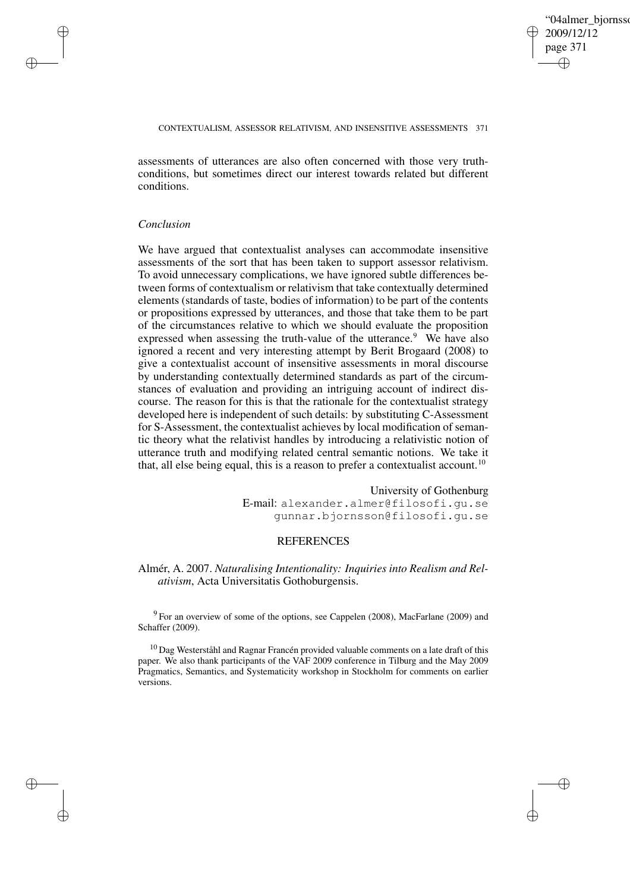✐

#### CONTEXTUALISM, ASSESSOR RELATIVISM, AND INSENSITIVE ASSESSMENTS 371

assessments of utterances are also often concerned with those very truthconditions, but sometimes direct our interest towards related but different conditions.

## *Conclusion*

✐

✐

✐

✐

We have argued that contextualist analyses can accommodate insensitive assessments of the sort that has been taken to support assessor relativism. To avoid unnecessary complications, we have ignored subtle differences between forms of contextualism or relativism that take contextually determined elements (standards of taste, bodies of information) to be part of the contents or propositions expressed by utterances, and those that take them to be part of the circumstances relative to which we should evaluate the proposition expressed when assessing the truth-value of the utterance.<sup>9</sup> We have also ignored a recent and very interesting attempt by Berit Brogaard (2008) to give a contextualist account of insensitive assessments in moral discourse by understanding contextually determined standards as part of the circumstances of evaluation and providing an intriguing account of indirect discourse. The reason for this is that the rationale for the contextualist strategy developed here is independent of such details: by substituting C-Assessment for S-Assessment, the contextualist achieves by local modification of semantic theory what the relativist handles by introducing a relativistic notion of utterance truth and modifying related central semantic notions. We take it that, all else being equal, this is a reason to prefer a contextualist account.<sup>10</sup>

> University of Gothenburg E-mail: alexander.almer@filosofi.gu.se gunnar.bjornsson@filosofi.gu.se

## **REFERENCES**

# Almér, A. 2007. *Naturalising Intentionality: Inquiries into Realism and Relativism*, Acta Universitatis Gothoburgensis.

<sup>9</sup> For an overview of some of the options, see Cappelen (2008), MacFarlane (2009) and Schaffer (2009).

<sup>10</sup> Dag Westerståhl and Ragnar Francén provided valuable comments on a late draft of this paper. We also thank participants of the VAF 2009 conference in Tilburg and the May 2009 Pragmatics, Semantics, and Systematicity workshop in Stockholm for comments on earlier versions.